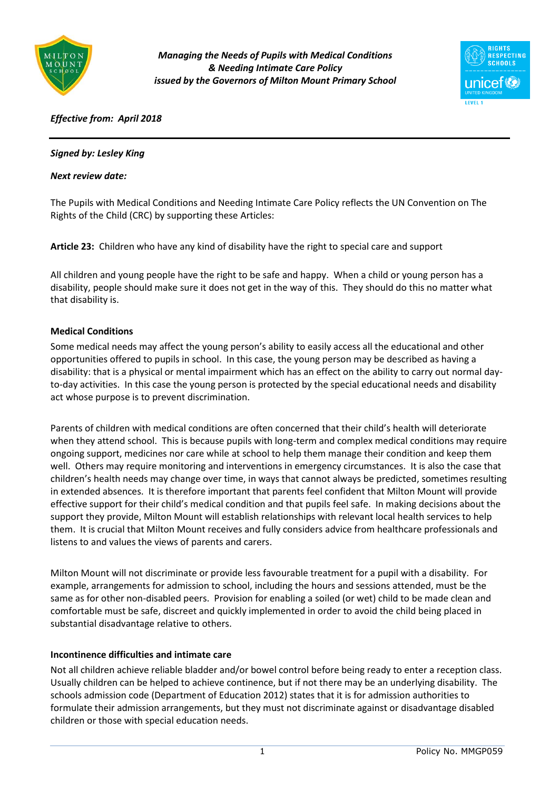

*Managing the Needs of Pupils with Medical Conditions & Needing Intimate Care Policy issued by the Governors of Milton Mount Primary School*



# *Effective from: April 2018*

## *Signed by: Lesley King*

#### *Next review date:*

The Pupils with Medical Conditions and Needing Intimate Care Policy reflects the UN Convention on The Rights of the Child (CRC) by supporting these Articles:

**Article 23:** Children who have any kind of disability have the right to special care and support

All children and young people have the right to be safe and happy. When a child or young person has a disability, people should make sure it does not get in the way of this. They should do this no matter what that disability is.

#### **Medical Conditions**

Some medical needs may affect the young person's ability to easily access all the educational and other opportunities offered to pupils in school. In this case, the young person may be described as having a disability: that is a physical or mental impairment which has an effect on the ability to carry out normal dayto-day activities. In this case the young person is protected by the special educational needs and disability act whose purpose is to prevent discrimination.

Parents of children with medical conditions are often concerned that their child's health will deteriorate when they attend school. This is because pupils with long-term and complex medical conditions may require ongoing support, medicines nor care while at school to help them manage their condition and keep them well. Others may require monitoring and interventions in emergency circumstances. It is also the case that children's health needs may change over time, in ways that cannot always be predicted, sometimes resulting in extended absences. It is therefore important that parents feel confident that Milton Mount will provide effective support for their child's medical condition and that pupils feel safe. In making decisions about the support they provide, Milton Mount will establish relationships with relevant local health services to help them. It is crucial that Milton Mount receives and fully considers advice from healthcare professionals and listens to and values the views of parents and carers.

Milton Mount will not discriminate or provide less favourable treatment for a pupil with a disability. For example, arrangements for admission to school, including the hours and sessions attended, must be the same as for other non-disabled peers. Provision for enabling a soiled (or wet) child to be made clean and comfortable must be safe, discreet and quickly implemented in order to avoid the child being placed in substantial disadvantage relative to others.

## **Incontinence difficulties and intimate care**

Not all children achieve reliable bladder and/or bowel control before being ready to enter a reception class. Usually children can be helped to achieve continence, but if not there may be an underlying disability. The schools admission code (Department of Education 2012) states that it is for admission authorities to formulate their admission arrangements, but they must not discriminate against or disadvantage disabled children or those with special education needs.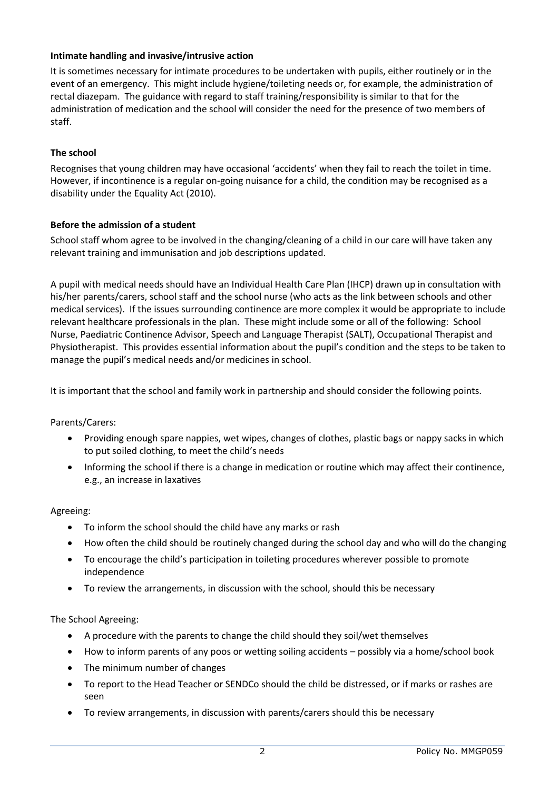## **Intimate handling and invasive/intrusive action**

It is sometimes necessary for intimate procedures to be undertaken with pupils, either routinely or in the event of an emergency. This might include hygiene/toileting needs or, for example, the administration of rectal diazepam. The guidance with regard to staff training/responsibility is similar to that for the administration of medication and the school will consider the need for the presence of two members of staff.

# **The school**

Recognises that young children may have occasional 'accidents' when they fail to reach the toilet in time. However, if incontinence is a regular on-going nuisance for a child, the condition may be recognised as a disability under the Equality Act (2010).

# **Before the admission of a student**

School staff whom agree to be involved in the changing/cleaning of a child in our care will have taken any relevant training and immunisation and job descriptions updated.

A pupil with medical needs should have an Individual Health Care Plan (IHCP) drawn up in consultation with his/her parents/carers, school staff and the school nurse (who acts as the link between schools and other medical services). If the issues surrounding continence are more complex it would be appropriate to include relevant healthcare professionals in the plan. These might include some or all of the following: School Nurse, Paediatric Continence Advisor, Speech and Language Therapist (SALT), Occupational Therapist and Physiotherapist. This provides essential information about the pupil's condition and the steps to be taken to manage the pupil's medical needs and/or medicines in school.

It is important that the school and family work in partnership and should consider the following points.

## Parents/Carers:

- Providing enough spare nappies, wet wipes, changes of clothes, plastic bags or nappy sacks in which to put soiled clothing, to meet the child's needs
- Informing the school if there is a change in medication or routine which may affect their continence, e.g., an increase in laxatives

## Agreeing:

- To inform the school should the child have any marks or rash
- How often the child should be routinely changed during the school day and who will do the changing
- To encourage the child's participation in toileting procedures wherever possible to promote independence
- To review the arrangements, in discussion with the school, should this be necessary

## The School Agreeing:

- A procedure with the parents to change the child should they soil/wet themselves
- How to inform parents of any poos or wetting soiling accidents possibly via a home/school book
- The minimum number of changes
- To report to the Head Teacher or SENDCo should the child be distressed, or if marks or rashes are seen
- To review arrangements, in discussion with parents/carers should this be necessary